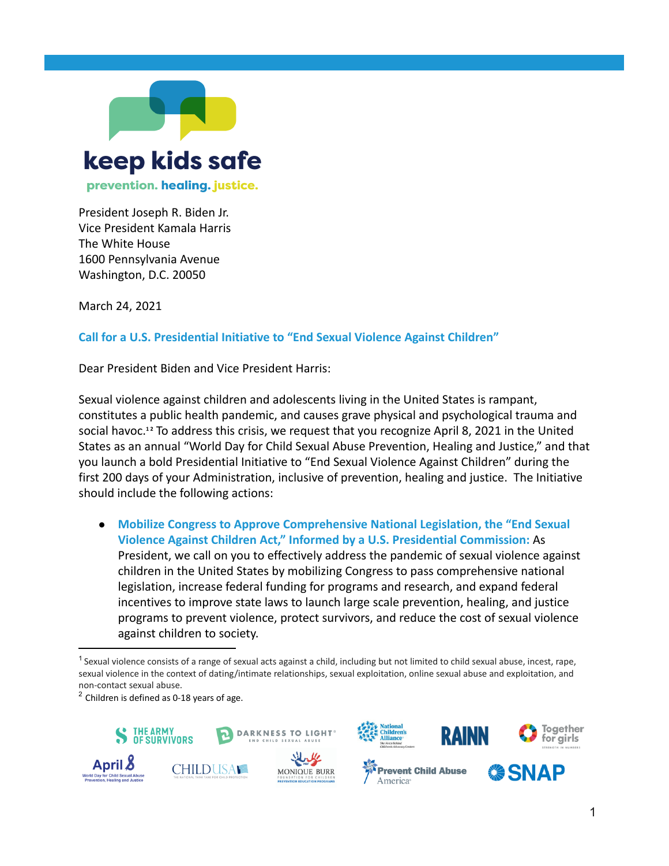

President Joseph R. Biden Jr. Vice President Kamala Harris The White House 1600 Pennsylvania Avenue Washington, D.C. 20050

March 24, 2021

## **Call for a U.S. Presidential Initiative to "End Sexual Violence Against Children"**

Dear President Biden and Vice President Harris:

Sexual violence against children and adolescents living in the United States is rampant, constitutes a public health pandemic, and causes grave physical and psychological trauma and social havoc.<sup>12</sup> To address this crisis, we request that you recognize April 8, 2021 in the United States as an annual "World Day for Child Sexual Abuse Prevention, Healing and Justice," and that you launch a bold Presidential Initiative to "End Sexual Violence Against Children" during the first 200 days of your Administration, inclusive of prevention, healing and justice. The Initiative should include the following actions:

● **Mobilize Congress to Approve Comprehensive National Legislation, the "End Sexual Violence Against Children Act," Informed by a U.S. Presidential Commission:** As President, we call on you to effectively address the pandemic of sexual violence against children in the United States by mobilizing Congress to pass comprehensive national legislation, increase federal funding for programs and research, and expand federal incentives to improve state laws to launch large scale prevention, healing, and justice programs to prevent violence, protect survivors, and reduce the cost of sexual violence against children to society.

 $2$  Children is defined as 0-18 years of age.





 $1$  Sexual violence consists of a range of sexual acts against a child, including but not limited to child sexual abuse, incest, rape, sexual violence in the context of dating/intimate relationships, sexual exploitation, online sexual abuse and exploitation, and non-contact sexual abuse.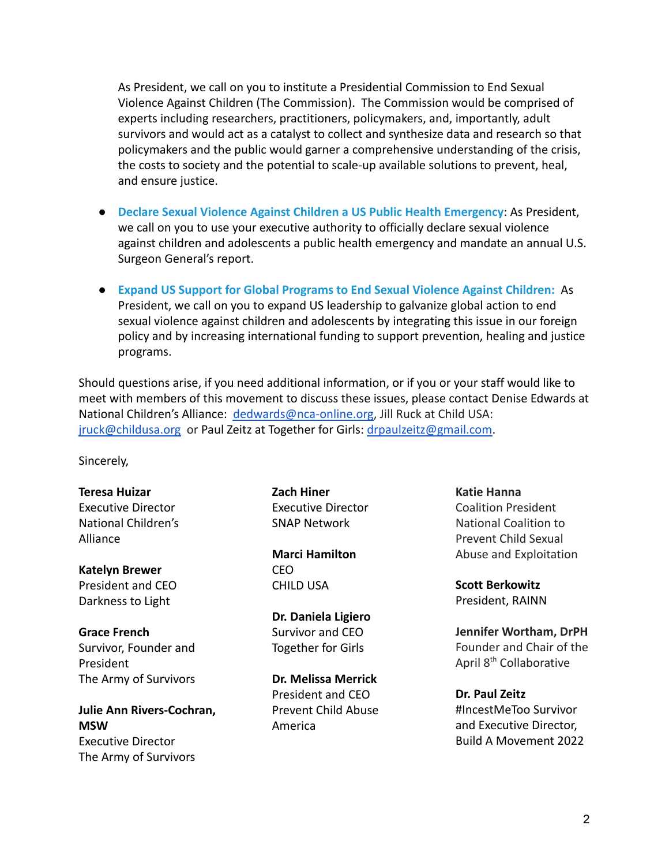As President, we call on you to institute a Presidential Commission to End Sexual Violence Against Children (The Commission). The Commission would be comprised of experts including researchers, practitioners, policymakers, and, importantly, adult survivors and would act as a catalyst to collect and synthesize data and research so that policymakers and the public would garner a comprehensive understanding of the crisis, the costs to society and the potential to scale-up available solutions to prevent, heal, and ensure justice.

- **Declare Sexual Violence Against Children a US Public Health Emergency**: As President, we call on you to use your executive authority to officially declare sexual violence against children and adolescents a public health emergency and mandate an annual U.S. Surgeon General's report.
- **Expand US Support for Global Programs to End Sexual Violence Against Children:** As President, we call on you to expand US leadership to galvanize global action to end sexual violence against children and adolescents by integrating this issue in our foreign policy and by increasing international funding to support prevention, healing and justice programs.

Should questions arise, if you need additional information, or if you or your staff would like to meet with members of this movement to discuss these issues, please contact Denise Edwards at National Children's Alliance: [dedwards@nca-online.org](mailto:dedwards@nca-online.org), Jill Ruck at Child USA: [jruck@childusa.org](mailto:jruck@childusa.org) or Paul Zeitz at Together for Girls: [drpaulzeitz@gmail.com.](mailto:drpaulzeitz@gmail.com)

Sincerely,

**Teresa Huizar** Executive Director National Children's Alliance

**Katelyn Brewer** President and CEO Darkness to Light

**Grace French** Survivor, Founder and President The Army of Survivors

**Julie Ann Rivers-Cochran, MSW** Executive Director The Army of Survivors

**Zach Hiner** Executive Director SNAP Network

**Marci Hamilton** CEO CHILD USA

**Dr. Daniela Ligiero** Survivor and CEO Together for Girls

**Dr. Melissa Merrick** President and CEO Prevent Child Abuse America

**Katie Hanna** Coalition President National Coalition to Prevent Child Sexual Abuse and Exploitation

**Scott Berkowitz** President, RAINN

**Jennifer Wortham, DrPH** Founder and Chair of the April 8th Collaborative

**Dr. Paul Zeitz** #IncestMeToo Survivor and Executive Director, Build A Movement 2022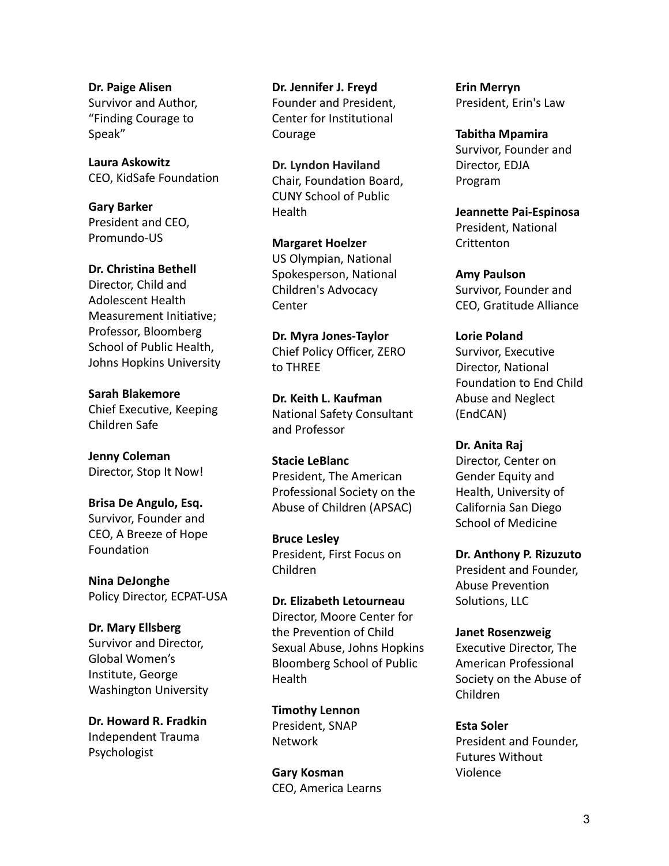**Dr. Paige Alisen** Survivor and Author, "Finding Courage to Speak"

**Laura Askowitz** CEO, KidSafe Foundation

**Gary Barker** President and CEO, Promundo-US

**Dr. Christina Bethell** Director, Child and Adolescent Health Measurement Initiative; Professor, Bloomberg School of Public Health, Johns Hopkins University

**Sarah Blakemore** Chief Executive, Keeping Children Safe

**Jenny Coleman** Director, Stop It Now!

**Brisa De Angulo, Esq.** Survivor, Founder and CEO, A Breeze of Hope Foundation

**Nina DeJonghe** Policy Director, ECPAT-USA

**Dr. Mary Ellsberg** Survivor and Director, Global Women's Institute, George Washington University

**Dr. Howard R. Fradkin** Independent Trauma Psychologist

**Dr. Jennifer J. Freyd** Founder and President, Center for Institutional Courage

**Dr. Lyndon Haviland** Chair, Foundation Board, CUNY School of Public Health

**Margaret Hoelzer** US Olympian, National Spokesperson, National Children's Advocacy Center

**Dr. Myra Jones-Taylor** Chief Policy Officer, ZERO to THREE

**Dr. Keith L. Kaufman** National Safety Consultant and Professor

**Stacie LeBlanc** President, The American Professional Society on the Abuse of Children (APSAC)

**Bruce Lesley** President, First Focus on Children

**Dr. Elizabeth Letourneau** Director, Moore Center for the Prevention of Child Sexual Abuse, Johns Hopkins Bloomberg School of Public **Health** 

**Timothy Lennon** President, SNAP Network

**Gary Kosman** CEO, America Learns **Erin Merryn** President, Erin's Law

**Tabitha Mpamira** Survivor, Founder and Director, EDJA Program

**Jeannette Pai-Espinosa** President, National **Crittenton** 

**Amy Paulson** Survivor, Founder and CEO, Gratitude Alliance

**Lorie Poland** Survivor, Executive Director, National Foundation to End Child Abuse and Neglect (EndCAN)

**Dr. Anita Raj** Director, Center on Gender Equity and Health, University of California San Diego School of Medicine

**Dr. Anthony P. Rizuzuto** President and Founder, Abuse Prevention Solutions, LLC

**Janet Rosenzweig** Executive Director, The American Professional Society on the Abuse of Children

**Esta Soler** President and Founder, Futures Without Violence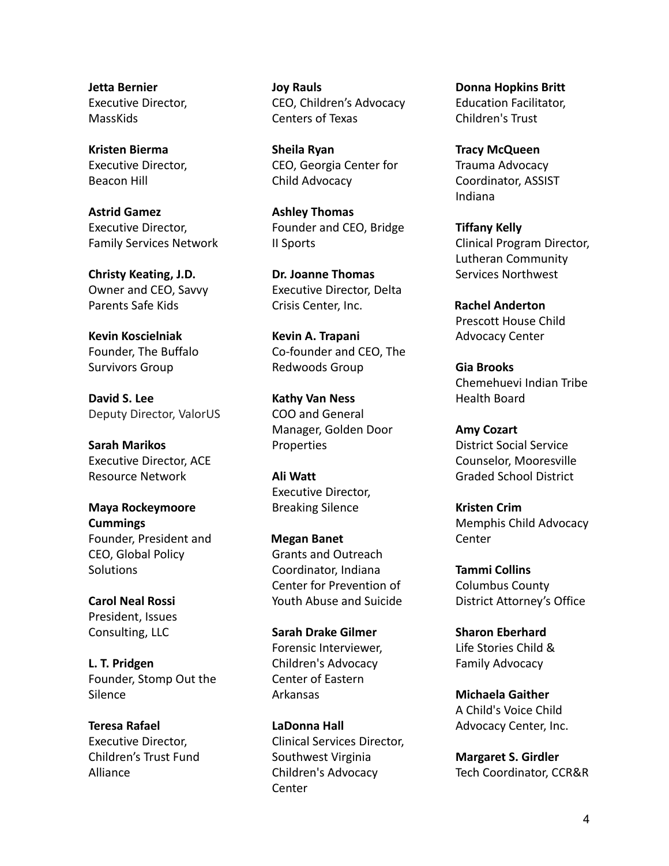**Jetta Bernier** Executive Director, **MassKids** 

**Kristen Bierma** Executive Director, Beacon Hill

**Astrid Gamez** Executive Director, Family Services Network

**Christy Keating, J.D.** Owner and CEO, Savvy Parents Safe Kids

**Kevin Koscielniak** Founder, The Buffalo Survivors Group

**David S. Lee** Deputy Director, ValorUS

**Sarah Marikos** Executive Director, ACE Resource Network

**Maya Rockeymoore Cummings** Founder, President and CEO, Global Policy **Solutions** 

**Carol Neal Rossi** President, Issues Consulting, LLC

**L. T. Pridgen** Founder, Stomp Out the Silence

**Teresa Rafael** Executive Director, Children's Trust Fund Alliance

**Joy Rauls** CEO, Children's Advocacy Centers of Texas

**Sheila Ryan** CEO, Georgia Center for Child Advocacy

**Ashley Thomas** Founder and CEO, Bridge II Sports

**Dr. Joanne Thomas** Executive Director, Delta Crisis Center, Inc.

**Kevin A. Trapani** Co-founder and CEO, The Redwoods Group

**Kathy Van Ness** COO and General Manager, Golden Door **Properties** 

**Ali Watt** Executive Director, Breaking Silence

**Megan Banet** Grants and Outreach Coordinator, Indiana Center for Prevention of Youth Abuse and Suicide

**Sarah Drake Gilmer** Forensic Interviewer, Children's Advocacy Center of Eastern Arkansas

**LaDonna Hall** Clinical Services Director, Southwest Virginia Children's Advocacy **Center** 

**Donna Hopkins Britt** Education Facilitator, Children's Trust

**Tracy McQueen** Trauma Advocacy Coordinator, ASSIST Indiana

**Tiffany Kelly** Clinical Program Director, Lutheran Community Services Northwest

**Rachel Anderton** Prescott House Child Advocacy Center

**Gia Brooks** Chemehuevi Indian Tribe Health Board

**Amy Cozart** District Social Service Counselor, Mooresville Graded School District

**Kristen Crim** Memphis Child Advocacy Center

**Tammi Collins** Columbus County District Attorney's Office

**Sharon Eberhard** Life Stories Child & Family Advocacy

**Michaela Gaither** A Child's Voice Child Advocacy Center, Inc.

**Margaret S. Girdler** Tech Coordinator, CCR&R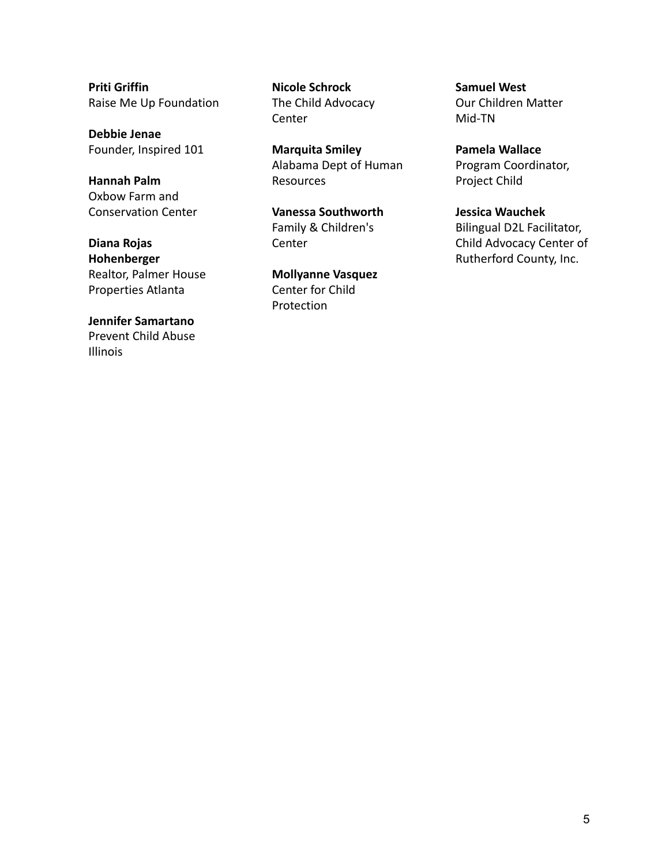**Priti Griffin** Raise Me Up Foundation

**Debbie Jenae** Founder, Inspired 101

**Hannah Palm** Oxbow Farm and Conservation Center

**Diana Rojas Hohenberger** Realtor, Palmer House Properties Atlanta

**Jennifer Samartano** Prevent Child Abuse Illinois

**Nicole Schrock** The Child Advocacy **Center** 

**Marquita Smiley** Alabama Dept of Human Resources

**Vanessa Southworth** Family & Children's **Center** 

**Mollyanne Vasquez** Center for Child Protection

**Samuel West** Our Children Matter Mid-TN

**Pamela Wallace** Program Coordinator, Project Child

**Jessica Wauchek** Bilingual D2L Facilitator, Child Advocacy Center of Rutherford County, Inc.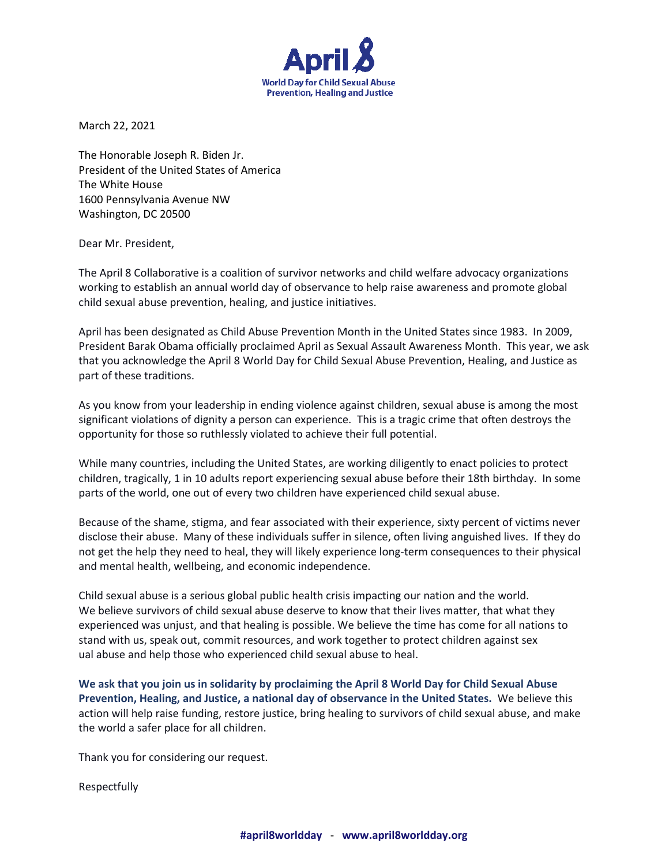

March 22, 2021

The Honorable Joseph R. Biden Jr. President of the United States of America The White House 1600 Pennsylvania Avenue NW Washington, DC 20500

Dear Mr. President,

The April 8 Collaborative is a coalition of survivor networks and child welfare advocacy organizations working to establish an annual world day of observance to help raise awareness and promote global child sexual abuse prevention, healing, and justice initiatives.

April has been designated as Child Abuse Prevention Month in the United States since 1983. In 2009, President Barak Obama officially proclaimed April as Sexual Assault Awareness Month. This year, we ask that you acknowledge the April 8 World Day for Child Sexual Abuse Prevention, Healing, and Justice as part of these traditions.

As you know from your leadership in ending violence against children, sexual abuse is among the most significant violations of dignity a person can experience. This is a tragic crime that often destroys the opportunity for those so ruthlessly violated to achieve their full potential.

While many countries, including the United States, are working diligently to enact policies to protect children, tragically, 1 in 10 adults report experiencing sexual abuse before their 18th birthday. In some parts of the world, one out of every two children have experienced child sexual abuse.

Because of the shame, stigma, and fear associated with their experience, sixty percent of victims never disclose their abuse. Many of these individuals suffer in silence, often living anguished lives. If they do not get the help they need to heal, they will likely experience long-term consequences to their physical and mental health, wellbeing, and economic independence.

Child sexual abuse is a serious global public health crisis impacting our nation and the world. We believe survivors of child sexual abuse deserve to know that their lives matter, that what they experienced was unjust, and that healing is possible. We believe the time has come for all nations to stand with us, speak out, commit resources, and work together to protect children against sex ual abuse and help those who experienced child sexual abuse to heal.

**We ask that you join us in solidarity by proclaiming the April 8 World Day for Child Sexual Abuse Prevention, Healing, and Justice, a national day of observance in the United States.** We believe this action will help raise funding, restore justice, bring healing to survivors of child sexual abuse, and make the world a safer place for all children.

Thank you for considering our request.

Respectfully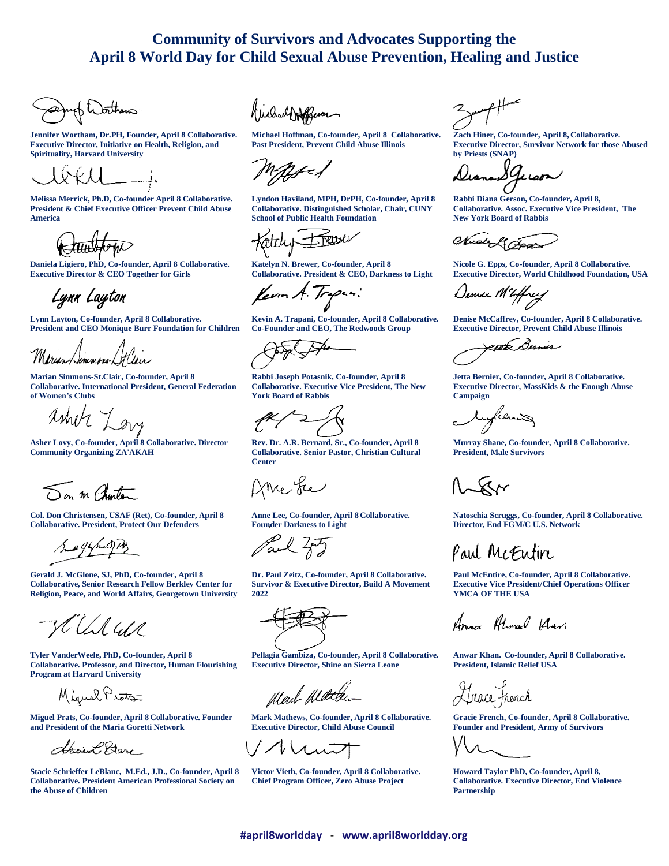## **Community of Survivors and Advocates Supporting the April 8 World Day for Child Sexual Abuse Prevention, Healing and Justice**

up Worthern

**Jennifer Wortham, Dr.PH, Founder, April 8 Collaborative. Executive Director, Initiative on Health, Religion, and Spirituality, Harvard University**

**Melissa Merrick, Ph.D, Co-founder April 8 Collaborative. President & Chief Executive Officer Prevent Child Abuse America**

**Daniela Ligiero, PhD, Co-founder, April 8 Collaborative. Executive Director & CEO Together for Girls**

Lynn Layton

**Lynn Layton, Co-founder, April 8 Collaborative. President and CEO Monique Burr Foundation for Children**

Marian Semmons Lit Clair

**Marian Simmons-St.Clair, Co-founder, April 8 Collaborative. International President, General Federation of Women's Clubs**

 $\lambda$ thity  $\lambda$ 

**Asher Lovy, Co-founder, April 8 Collaborative. Director Community Organizing ZA'AKAH**

Son m Charton

**Col. Don Christensen, USAF (Ret), Co-founder, April 8 Collaborative. President, Protect Our Defenders**

Sune 94 mid PM

**Gerald J. McGlone, SJ, PhD, Co-founder, April 8 Collaborative, Senior Research Fellow Berkley Center for Religion, Peace, and World Affairs, Georgetown University**

HUS US

**Tyler VanderWeele, PhD, Co-founder, April 8 Collaborative. Professor, and Director, Human Flourishing Program at Harvard University**

Miguel Prota

**Miguel Prats, Co-founder, April 8 Collaborative. Founder and President of the Maria Goretti Network**

Have L Bare

**Stacie Schrieffer LeBlanc, M.Ed., J.D., Co-founder, April 8 Collaborative. President American Professional Society on the Abuse of Children**

**Michael Hoffman, Co-founder, April 8 Collaborative. Past President, Prevent Child Abuse Illinois**

**Lyndon Haviland, MPH, DrPH, Co-founder, April 8 Collaborative. Distinguished Scholar, Chair, CUNY School of Public Health Foundation**

Freed attiuf

**Katelyn N. Brewer, Co-founder, April 8 Collaborative. President & CEO, Darkness to Light**

fevor A. Tropin:

**Kevin A. Trapani, Co-founder, April 8 Collaborative. Co-Founder and CEO, The Redwoods Group**

**Rabbi Joseph Potasnik, Co-founder, April 8 Collaborative. Executive Vice President, The New York Board of Rabbis**

**Rev. Dr. A.R. Bernard, Sr., Co-founder, April 8 Collaborative. Senior Pastor, Christian Cultural Center**

Ame Le

**Anne Lee, Co-founder, April 8 Collaborative. Founder Darkness to Light**

Paul Zoty

**Dr. Paul Zeitz, Co-founder, April 8 Collaborative. Survivor & Executive Director, Build A Movement 2022**



**Pellagia Gambiza, Co-founder, April 8 Collaborative. Executive Director, Shine on Sierra Leone** 

Mail Matten

**Mark Mathews, Co-founder, April 8 Collaborative. Executive Director, Child Abuse Council**

Tunt

**Victor Vieth, Co-founder, April 8 Collaborative. Chief Program Officer, Zero Abuse Project**

**Zach Hiner, Co-founder, April 8, Collaborative. Executive Director, Survivor Network for those Abused by Priests (SNAP)**

Iguan

**Rabbi Diana Gerson, Co-founder, April 8, Collaborative. Assoc. Executive Vice President, The New York Board of Rabbis**

Nuole & Fra

**Nicole G. Epps, Co-founder, April 8 Collaborative. Executive Director, World Childhood Foundation, USA**

Dennee MEffrey

**Denise McCaffrey, Co-founder, April 8 Collaborative. Executive Director, Prevent Child Abuse Illinois**

<u>erth B</u>ermer

**Jetta Bernier, Co-founder, April 8 Collaborative. Executive Director, MassKids & the Enough Abuse Campaign**

lu*flem*s

**Murray Shane, Co-founder, April 8 Collaborative. President, Male Survivors**

 $\Lambda_{\infty}$ Kr

**Natoschia Scruggs, Co-founder, April 8 Collaborative. Director, End FGM/C U.S. Network**

Paul McEntin

**Paul McEntire, Co-founder, April 8 Collaborative. Executive Vice President/Chief Operations Officer YMCA OF THE USA**

Ama Almad Klan

**Anwar Khan. Co-founder, April 8 Collaborative. President, Islamic Relief USA**

 $\frac{1}{2}$ 

**Gracie French, Co-founder, April 8 Collaborative. Founder and President, Army of Survivors**

**Howard Taylor PhD, Co-founder, April 8, Collaborative. Executive Director, End Violence Partnership**